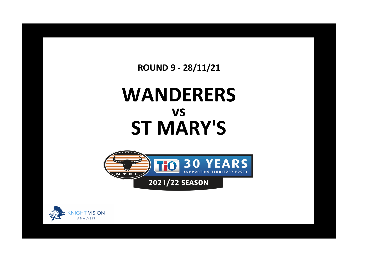**ROUND 9 - 28/11/21**

## **WANDERERS ST MARY'S vs**



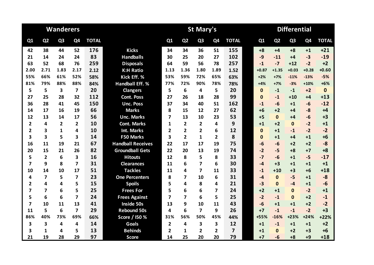|                         |                         | <b>Wanderers</b> |                |              |                          |                |                | <b>St Mary's</b>        |                |                | <b>Differential</b> |                |                |                |              |  |
|-------------------------|-------------------------|------------------|----------------|--------------|--------------------------|----------------|----------------|-------------------------|----------------|----------------|---------------------|----------------|----------------|----------------|--------------|--|
| Q1                      | Q <sub>2</sub>          | Q <sub>3</sub>   | Q4             | <b>TOTAL</b> |                          | Q1             | Q <sub>2</sub> | Q <sub>3</sub>          | Q <sub>4</sub> | <b>TOTAL</b>   | Q1                  | Q <sub>2</sub> | Q <sub>3</sub> | Q <sub>4</sub> | <b>TOTAL</b> |  |
| 42                      | 38                      | 44               | 52             | 176          | <b>Kicks</b>             | 34             | 34             | 36                      | 51             | 155            | $+8$                | $+4$           | $+8$           | $+1$           | $+21$        |  |
| 21                      | 14                      | 24               | 24             | 83           | <b>Handballs</b>         | 30             | 25             | 20                      | 27             | 102            | $-9$                | $-11$          | +4             | $-3$           | $-19$        |  |
| 63                      | 52                      | 68               | 76             | 259          | <b>Disposals</b>         | 64             | 59             | 56                      | 78             | 257            | $-1$                | $-7$           | $+12$          | $-2$           | $+2$         |  |
| 2.00                    | 2.71                    | 1.83             | 2.17           | 2.12         | <b>K:H Ratio</b>         | 1.13           | 1.36           | 1.80                    | 1.89           | 1.52           | $+0.87$             | $+1.35$        | $+0.03$        | $+0.28$        | $+0.60$      |  |
| 55%                     | 66%                     | 61%              | 52%            | 58%          | Kick Eff. %              | 53%            | 59%            | 72%                     | 65%            | 63%            | $+2%$               | $+7%$          | $-11%$         | $-13%$         | $-5%$        |  |
| 81%                     | 79%                     | 88%              | 88%            | 84%          | <b>Handball Eff. %</b>   | 77%            | 72%            | 90%                     | 78%            | 78%            | $+4%$               | $+7%$          | $-3%$          | $+10%$         | $+6%$        |  |
| 5                       | 5                       | 3                | $\overline{7}$ | 20           | <b>Clangers</b>          | 5              | 6              | 4                       | 5              | 20             | $\mathbf{0}$        | $-1$           | $-1$           | $+2$           | $\mathbf 0$  |  |
| 27                      | 25                      | 28               | 32             | 112          | <b>Cont. Poss</b>        | 27             | 26             | 18                      | 28             | 99             | $\Omega$            | $-1$           | $+10$          | $+4$           | $+13$        |  |
| 36                      | 28                      | 41               | 45             | 150          | <b>Unc. Poss</b>         | 37             | 34             | 40                      | 51             | 162            | $-1$                | $-6$           | $+1$           | $-6$           | $-12$        |  |
| 14                      | 17                      | 16               | 19             | 66           | <b>Marks</b>             | 8              | 15             | 12                      | 27             | 62             | $+6$                | $+2$           | $+4$           | $-8$           | $+4$         |  |
| 12                      | 13                      | 14               | 17             | 56           | <b>Unc. Marks</b>        | $\overline{7}$ | 13             | 10                      | 23             | 53             | $+5$                | $\mathbf{0}$   | +4             | $-6$           | $+3$         |  |
| $\overline{2}$          | 4                       | $\overline{2}$   | $\mathbf{2}$   | 10           | <b>Cont. Marks</b>       | 1              | $\mathbf{2}$   | $\mathbf{2}$            | 4              | 9              | $+1$                | $+2$           | $\mathbf{0}$   | $-2$           | $+1$         |  |
| $\overline{2}$          | 3                       | 1                | 4              | 10           | <b>Int. Marks</b>        | 2              | $\overline{2}$ | $\overline{\mathbf{2}}$ | 6              | 12             | $\mathbf 0$         | $+1$           | $-1$           | $-2$           | $-2$         |  |
| 3                       | 3                       | 5                | 3              | 14           | F50 Marks                | 3              | $\overline{2}$ | 1                       | $\overline{2}$ | 8              | $\mathbf{0}$        | $+1$           | $+4$           | $+1$           | $+6$         |  |
| 16                      | 11                      | 19               | 21             | 67           | <b>Handball Receives</b> | 22             | 17             | 17                      | 19             | 75             | $-6$                | $-6$           | $+2$           | $+2$           | $-8$         |  |
| 20                      | 15                      | 21               | 26             | 82           | <b>Groundball Gets</b>   | 22             | 20             | 13                      | 19             | 74             | $-2$                | $-5$           | $+8$           | $+7$           | $+8$         |  |
| 5                       | $\overline{\mathbf{2}}$ | 6                | 3              | 16           | <b>Hitouts</b>           | 12             | 8              | 5                       | 8              | 33             | $-7$                | $-6$           | $+1$           | $-5$           | $-17$        |  |
| $\overline{\mathbf{z}}$ | 9                       | 8                | 7              | 31           | <b>Clearances</b>        | 11             | 6              | 7                       | 6              | 30             | $-4$                | $+3$           | $+1$           | $+1$           | $+1$         |  |
| 10                      | 14                      | 10               | 17             | 51           | <b>Tackles</b>           | 11             | 4              | $\overline{\mathbf{z}}$ | 11             | 33             | $-1$                | $+10$          | $+3$           | $+6$           | $+18$        |  |
| 4                       | 7                       | 5                | 7              | 23           | <b>One Percenters</b>    | 8              | 7              | 10                      | 6              | 31             | $-4$                | $\mathbf{0}$   | $-5$           | $+1$           | $-8$         |  |
| $\overline{2}$          | 4                       | 4                | 5              | 15           | <b>Spoils</b>            | 5              | 4              | 8                       | 4              | 21             | $-3$                | $\Omega$       | $-4$           | $+1$           | $-6$         |  |
| 7                       | $\overline{\mathbf{z}}$ | 6                | 5              | 25           | <b>Frees For</b>         | 5              | 6              | 6                       | 7              | 24             | $+2$                | $+1$           | $\mathbf{0}$   | $-2$           | $+1$         |  |
| 5                       | 6                       | 6                | $\overline{7}$ | 24           | <b>Frees Against</b>     | 7              | $\overline{ }$ | 6                       | 5              | 25             | $-2$                | $-1$           | $\mathbf{0}$   | $+2$           | $-1$         |  |
| $\overline{\mathbf{z}}$ | 10                      | 11               | 13             | 41           | Inside 50s               | 13             | 9              | 10                      | 11             | 43             | $-6$                | $+1$           | $+1$           | $+2$           | $-2$         |  |
| 11                      | 5                       | 6                | 7              | 29           | <b>Rebound 50s</b>       | 4              | 6              | 7                       | 9              | 26             | $+7$                | $-1$           | $-1$           | $-2$           | $+3$         |  |
| 86%                     | 40%                     | 73%              | 69%            | 66%          | Score / I50 %            | 31%            | 56%            | 50%                     | 45%            | 44%            | +55%                | $-16%$         | $+23%$         | $+24%$         | $+22%$       |  |
| 3                       | 3                       | 4                | 4              | 14           | Goals                    | $\overline{2}$ | 4              | 3                       | 3              | 12             | $+1$                | $-1$           | $+1$           | $+1$           | $+2$         |  |
| 3                       | 1                       | 4                | 5              | 13           | <b>Behinds</b>           | 2              | 1              | $\overline{2}$          | $\mathbf{2}$   | $\overline{7}$ | $+1$                | $\Omega$       | $+2$           | $+3$           | $+6$         |  |
| 21                      | 19                      | 28               | 29             | 97           | <b>Score</b>             | 14             | 25             | 20                      | 20             | 79             | $+7$                | $-6$           | $+8$           | $+9$           | $+18$        |  |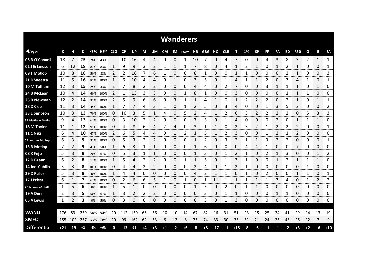|                     | <b>Wanderers</b> |                |      |             |          |     |           |       |      |      |           |             |             |                |            |       |                |       |      |           |      |              |            |                |      |              |              |
|---------------------|------------------|----------------|------|-------------|----------|-----|-----------|-------|------|------|-----------|-------------|-------------|----------------|------------|-------|----------------|-------|------|-----------|------|--------------|------------|----------------|------|--------------|--------------|
| <b>Player</b>       | К                | н              | D    |             | KE% HE%  | CLG | <b>CP</b> | UP.   | М    | UM   | <b>CM</b> | IM          | <b>F50M</b> | ΗR             | <b>GBG</b> | но    | <b>CLR</b>     | т     | 1%   | <b>SP</b> | FF   | FA           | <b>150</b> | <b>R50</b>     | G    | В            | <b>SA</b>    |
| 06 B O'Connell      | 18               | 7              | 25   | 78%         | 43%      | 2   | 10        | 16    | 4    | 4    | 0         | 0           | 1           | 10             | 7          | 0     | 4              |       | 0    | 0         | 4    | 3            | 8          | 3              | 2    | 1            | $\mathbf{1}$ |
| 02 J Erlandson      | 6                | 12             | 18   | 83%         | 83%      | 1   | 9         | 9     | 3    | 2    |           | 1           | 1           | 7              | 8          | 0     | 4              |       | 2    | 1         | 0    | 1            | 2          | 1              | 0    | 0            | 1            |
| 09 T Motlop         | 10               | 8              | 18   | 50%         | 88%      | 2   | 2         | 16    | 7    | 6    | 1         | 0           | 0           | 8              | 1          | 0     | 0              | 1     | 1    | 0         | 0    | 0            | 2          | 1              | 0    | 0            | 3            |
| 21 D Weetra         | 11               | 5              | 16   | 82%         | 100%     | 1   | 6         | 10    | 4    | 4    | 0         | 1           | 0           | 3              | 5          | 0     | 1              | 4     | 1    | 1         | 2    | 0            | 3          | 4              | 1    | 0            | 1            |
| 10 M Totham         | 12               | 3              | 15   | 25%         | 33%      | 2   |           | 8     | 2    | 2    | 0         | 0           | 0           | 4              | 4          | 0     | 2              | 7     | 0    | 0         | 3    | 1            |            | 1              | 0    | 1            | 0            |
| 24 B McLean         | 10               | 4              | 14   | 60%         | 100%     | 2   | 1         | 13    | 3    | 3    | 0         | 0           | 1           | 8              | 1          | 0     | 0              | 3     | 0    | 0         | 0    | 0            |            | 1              | 1    | 0            | 0            |
| 25 B Newman         | 12               | 2              | 14   |             | 33% 100% | 2   | 5         | 9     | 6    | 6    | 0         | 3           | 1           | 1              | 4          | 1     | 0              |       |      | 2         | 2    | 0            |            | 1              | 0    | 1            | 1            |
| 28 D Clee           | 11               | 3              | 14   | 45%         | 100%     | 1   | 7         |       | 4    | 3    | 1         | 0           | 1           | $\overline{2}$ | 5          | 0     | 3              | 4     | 0    | 0         | 1    | 3            | 5          | $\overline{2}$ | 0    | 0            | 2            |
| 33 E Simpson        | -10              | 3              | 13   | 70%         | 100%     | 0   | 10        | 3     | 5    | 1    | 4         | 0           | 5           | 2              | 4          | 1     | 2              | 0     | 3    | 2         | 2    | 2            | 2          | 0              | 5    | 3            | 3            |
| 35 Matthew Motlop   | 9                | 4              | 13   | 67%         | 100%     | 0   | 3         | 10    | 2    | 2    | 0         | 0           | 0           | 7              | 3          | 0     |                | 4     | 0    | 0         | 0    | 2            | 0          | $\mathbf{1}$   | 1    | 1            | 0            |
| 18 M Taylor         | 11               | 1              | 12   | 91%         | 100%     | 0   | 4         | 8     | 6    | 4    | 2         | 4           | 0           | 3              |            | 1     | 0              | 2     | 3    | 2         | 1    | 2            | 2          | 2              | 0    | 0            | 1            |
| 11 C Niki           | 6                | 4              | 10   | 67%         | 100%     | 2   | 6         | 5     | 4    | 4    | 0         |             | 2           | 1              | 5          |       | $\overline{2}$ | 3     | 0    | 0         |      | 2            |            | $\overline{2}$ | 0    | 0            | 0            |
| 04 Jerome Motlop    | 6                | 3              | 9    | 33%         | 100%     | 0   | 5         | 3     | 2    | 2    | 0         | 0           | 0           | 1              | 2          | 0     | 3              | 2     |      | 1         | 3    | 2            | 2          | 0              | 0    | 0            | 1            |
| 13 B Motlop         | 7                | 2              | 9    | 43%         | 50%      |     | 6         | 3     | 1    |      | 0         | 0           | 0           | 1              | 6          | 0     | 0              | 0     | 4    | 4         |      | 0            | 0          | $\overline{7}$ | 0    | 0            | 0            |
| 08 K Fejo           | 5                | 3              | 8    | 20%         | 67%      | 0   | 5         | 3     | 1    | 1    | 0         | 0           | 0           | 1              | 3          | 0     | 1              | 2     | 1    | 0         | 2    | $\mathbf{1}$ | 3          | 0              | 0    | 1            | 2            |
| 12 D Braun          | 6                | $\overline{2}$ | 8    |             | 17% 100% |     | 5         | 4     | 2    | 2    | 0         | 0           | 1           | 1              | 5          | 0     |                | 3     |      | 0         | 0    | $\mathbf{1}$ | 2          | 1              | 1    | 1            | 0            |
| 14 Joel Cubillo     | 5                | 3              | 8    | 100% 100%   |          | 0   | 4         | 4     | 2    | 2    | 0         | 0           | 0           | 2              | 4          | 0     | 1              | 2     | 1    | 0         | 0    | 0            | 0          | 0              | 1    | 0            | 0            |
| 29 D Fuller         | 5                | 3              | 8    |             | 40% 100% | 1   | 4         | 4     | 0    | 0    | 0         | 0           | 0           | 4              | 2          |       |                | 0     |      | 0         | 2    | 0            | 0          | 1              | 1    | 0            | 1            |
| 17 J Priest         | 6                | 1              | 7    | 67%         | 100%     | 0   | 2         | 6     | 6    | 5    | 1         | 0           | 1           | 0              | 1          | 11    | 1              | 1     | 1    | 1         | 1    | 3            | 4          | 0              | 1    | 2            | 2            |
| 20 N Jones-Cubillo  | 1                | 5<br>an an     | 6    | 0%          | 100%     | 1   | 5         | 1     | 0    | 0    | 0         | 0<br>onomo. | 0           | 1              | 5          | 0     | 2              | 0     |      | 1         | 0    | 0            | 0          | 0              | 0    | 0<br>on on o | 0<br>omonom  |
| 19 A Dunn           | 2                | 3              | 5    | 50%         | 67%      | 1   | 3         | 2     | 2    | 2    | 0         | 0           | 0           | 0              | 3          | 0     | 1              | 1     | 0    | 0         | 0    | 1            | 1          | 0              | 0    | 0            | 0            |
| 05 A Lewis          | 1                | 2              | 3    | 0%          | 50%      | 0   | 3         | 0     | 0    | 0    | 0         | 0           | 0           | 0              | 3          | 0     | 1              | 3     | 0    | 0         | 0    | 0            | 0          | 0              | 0    | 0            | 0            |
|                     |                  |                |      |             |          |     |           |       |      |      |           |             |             |                |            |       |                |       |      |           |      |              |            |                |      |              |              |
| <b>WAND</b>         | 176              | -83            | 259  |             | 58% 84%  | 20  | 112       | 150   | 66   | 56   | 10        | 10          | 14          | 67             | 82         | 16    | 31             | 51    | 23   | 15        | 25   | 24           | 41         | 29             | 14   | 13           | 19           |
| <b>SMFC</b>         | 155              | 102            |      | 257 63% 78% |          | 20  | 99        | 162   | 62   | 53   | 9         | 12          | 8           | 75             | 74         | 33    | 30             | 33    | 31   | 21        | 24   | 25           | 43         | 26             | 12   | 7            | 9            |
| <b>Differential</b> | $+21$            | $-19$          | $+2$ | -5%         | $+6%$    | 0   | $+13$     | $-12$ | $+4$ | $+3$ | $+1$      | -2          | $+6$        | -8             | $+8$       | $-17$ | $+1$           | $+18$ | $-8$ | -6        | $+1$ | $-1$         | $-2$       | $+3$           | $+2$ | $+6$         | $+10$        |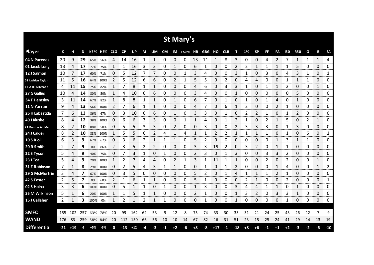| St Mary's           |     |       |      |      |             |    |           |       |    |               |           |      |         |      |        |       |            |       |      |              |      |      |            |            |    |              |              |
|---------------------|-----|-------|------|------|-------------|----|-----------|-------|----|---------------|-----------|------|---------|------|--------|-------|------------|-------|------|--------------|------|------|------------|------------|----|--------------|--------------|
| <b>Player</b>       | К   | н     | D    |      | KE% HE% CLG |    | <b>CP</b> | UP    | M  | UM            | <b>CM</b> | IM   | F50M HR |      | GBG HO |       | <b>CLR</b> | т     | 1%   | <b>SP</b>    | FF   | FA   | <b>150</b> | <b>R50</b> | G  | В            | <b>SA</b>    |
| 04 N Paredes        | 20  | 9     | 29   | 65%  | 56%         | 4  | 14        | 16    | 1  | 1             | 0         | 0    | 0       | 13   | 11     | 1     | 8          | 3     | 0    | 0            | 4    | 2    | 7          | 1          | 1  | $\mathbf{1}$ | 4            |
| 01 Jacob Long       | 13  | 4     | 17   | 77%  | 75%         |    | 1         | 16    | 3  | 3             | 0         |      | 0       | 6    |        | 0     | 0          |       |      |              |      |      |            | 5          | 0  | 0            | 0            |
| 12 J Salmon         | 10  |       | 17   | 60%  | 71%         | 0  | 5         | 12    |    | 7             | 0         | 0    | 1       | 3    | 4      | 0     | 0          | 3     |      | 0            | 3    | 0    | 4          | 3          | 1  | 0            | 1            |
| 03 Lachlan Taylor   | 11  | 5     | 16   | 64%  | 100%        | 2  | 5         | 12    | 6  | 6             | 0         | 2    | 1       | 5    | 5      | 0     | 2          | 0     | 4    | 4            | 0    | 0    |            | 1          | 1  | 0            | 0            |
| 17 A Hildebrandt    | 4   | 11    | 15   | 75%  | 82%         | 1  | 7         | 8     | 1  | 1             | 0         | 0    | 0       | 4    | 6      | 0     | 3          | 3     | 1    | 0            | 1    | 1    | 2          | 0          | 0  | 1            | 0            |
| 27 G Gallus         | 10  | 4     | 14   | 80%  | 50%         |    | 4         | 10    | 6  | 6             | 0         | 0    | 0       | 3    | 4      | 0     | 0          | 1     | 0    | 0            | 0    | 0    | 0          | 5          | 0  | 0            | 0            |
| <b>34 T Hemsley</b> | 3   | 11    | 14   | 67%  | 82%         | 1  | 8         | 8     | 1  | 1             | 0         | 1    | 0       | 6    |        | 0     | 1          | 0     |      | 0            | 1    | 4    | 0          | 1          | 0  | 0            | 0            |
| 11 N Yarran         | 9   | 4     | 13   | 56%  | 100%        | 2  |           | 6     | 1  | 1             | 0         | 0    | 0       | 4    |        | 0     | 6          | 1     | 2    | 0            | 0    | 2    |            | 0          | 0  | 0            | 0            |
| 26 H Labastida      | 7   | 6     | 13   | 86%  | 67%         | 0  | 3         | 10    | 6  | 6             | 0         | 1    | 0       | 3    | 3      | 0     | 1          | 0     | 2    | 2            | 1    | 0    | 1          | 2          | 0  | 0            | 0            |
| 40 J Kluske         | 8   | 4     | 12   | 38%  | 100%        | 0  | 6         | 6     | 3  | 3             | 0         | 0    | 1       | 1    | 4      | 0     |            | 2     |      | 0            | 2    | 1    | 5          | 0          | 2  | 1            | 0            |
| 21 Braxton Ah Mat   | 8   | 2     | 10   | 88%  | 50%         | 0  | 5         | 5     | 3  | 3             | 0         | 2    | 0       | 0    | 3      | 0     | 0          | 2     | 3    | 3            | 3    | 0    |            | 3          | 0  | 0            | 0            |
| 24 J Calder         | 8   | 2     | 10   | 88%  | 100%        |    | 5         | 5     | 6  |               | 4         |      | 4       | 1    |        | 2     | 2          | 1     |      | 1            |      | 0    |            | 0          | 6  | 0            | 1            |
| 10 S Rioli          | 6   | 3     | 9    | 67%  | 67%         | 0  | 3         | 6     | 2  | 1             | 1         | 1    | 0       | 5    | 2      | 0     | 0          | 0     | 0    | 0            | 0    | 1    | 3          | 1          | 1  | $\Omega$     | 0            |
| 20 R Smith          | 2   |       | 9    | 0%   | 86%         | 2  | 3         | 5     | 2  | $\mathcal{P}$ | 0         | 0    | 0       | 3    | 3      | 19    |            | 0     | 3    | 2            | Ω    | 1    |            | 0          | 0  | 0            | 0            |
| 22 S Tyson          | 5   | 4     | 9    | 40%  | 75%         | 0  |           | 3     | 1  | 0             | 1         | 0    | 0       | 2    | 3      | 0     | 1          | 3     | 0    | 0            | 3    | 3    | 2          | 0          | 0  | 0            | 0            |
| 23 J Toa            | 5   | 4     | 9    |      | 20% 100%    |    | 2         |       | 4  | 4             | 0         | 2    | 1       | 3    | 1      | 11    | 1          | 1     | 0    | 0            | 2    | 0    | 2          | 0          | 0  | 1            | 0            |
| 31 Z Robinson       | 7   | 1     | 8    | 29%  | 100%        | 0  | 2         | 5     | 4  | 3             | 1         | 1    | 0       | 0    | 1      | 0     | 1          | 2     | 0    | 0            | 0    | 1    | 4          | 0          | 0  | 1            | 2            |
| 29 G McMurtrie      | 3   | 4     | 7    | 67%  | 100%        | 0  | 3         | 5     | 0  | 0             | 0         | 0    | 0       | 5    | 2      | 0     |            | 4     |      | 1            | 1    | 2    | -1         | 0          | 0  | 0            | 0            |
| 42 S Foster         | 2   | 5     | 7    | 0%   | 60%         | 2  | 1         | 6     | 1  | 1             | 0         | 0    | 0       | 5    | 1      | 0     | 0          | 0     | 2    | $\mathbf{1}$ | 0    | 0    | 2          | 0          | 0  | 0            | $\mathbf{1}$ |
| 02 S Holna          | 3   | 3     | 6    |      | 100% 100%   | 0  | 5         | 1     | 1  | 0             | 1         | 0    | 0       | 1    | 3      | 0     | 0          | 3     | 4    | 4            | 1    | 1    | 0          | 1          | 0  | 0            | 0            |
| 35 M Wilkinson      | 5   | 1     | 6    | 20%  | 100%        | 1  | 1         | 5     | 1  | 1             | 0         | 0    | 0       | 2    | 1      | 0     | 0          | 1     | 3    | 2            | 0    | 3    | 3          | 1          | 0  | 0            | 0            |
| 16 J Gallaher       | 2   | 1     | 3    | 100% | 0%          | 1  | 2         | 1     | 2  | $\mathbf{1}$  | 1         | 0    | 0       | 0    | 1      | 0     | 0          | 1     | 0    | 0            | 0    | 0    | -1         | 0          | 0  | 0            | 0            |
|                     |     |       |      |      |             |    |           |       |    |               |           |      |         |      |        |       |            |       |      |              |      |      |            |            |    |              |              |
| <b>SMFC</b>         | 155 | 102   | 257  | 63%  | 78%         | 20 | 99        | 162   | 62 | 53            | 9         | 12   | 8       | 75   | 74     | 33    | 30         | 33    | 31   | 21           | 24   | 25   | 43         | 26         | 12 | 7            | 9            |
| <b>WAND</b>         | 176 | 83    | 259  |      | 58% 84%     | 20 | 112       | 150   | 66 | 56            | 10        | 10   | 14      | 67   | 82     | 16    | 31         | 51    | 23   | 15           | 25   | 24   | 41         | 29         | 14 | 13           | 19           |
| <b>Differential</b> | -21 | $+19$ | $-2$ | +5%  | -6%         | 0  | $-13$     | $+12$ | -4 | -3            | -1        | $+2$ | -6      | $+8$ | -8     | $+17$ | $-1$       | $-18$ | $+8$ | $+6$         | $-1$ | $+1$ | $+2$       | -3         | -2 | -6           | $-10$        |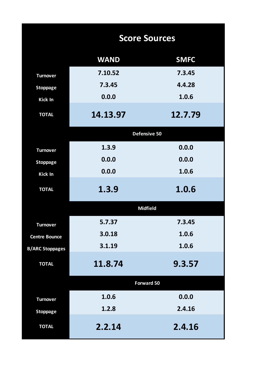|                        | <b>Score Sources</b> |             |  |  |  |  |  |  |  |
|------------------------|----------------------|-------------|--|--|--|--|--|--|--|
|                        | <b>WAND</b>          | <b>SMFC</b> |  |  |  |  |  |  |  |
| <b>Turnover</b>        | 7.10.52              | 7.3.45      |  |  |  |  |  |  |  |
| <b>Stoppage</b>        | 7.3.45               | 4.4.28      |  |  |  |  |  |  |  |
| Kick In                | 0.0.0                | 1.0.6       |  |  |  |  |  |  |  |
| <b>TOTAL</b>           | 14.13.97             | 12.7.79     |  |  |  |  |  |  |  |
|                        | Defensive 50         |             |  |  |  |  |  |  |  |
| <b>Turnover</b>        | 1.3.9                | 0.0.0       |  |  |  |  |  |  |  |
| <b>Stoppage</b>        | 0.0.0                | 0.0.0       |  |  |  |  |  |  |  |
| Kick In                | 0.0.0                | 1.0.6       |  |  |  |  |  |  |  |
| <b>TOTAL</b>           | 1.3.9                | 1.0.6       |  |  |  |  |  |  |  |
|                        | <b>Midfield</b>      |             |  |  |  |  |  |  |  |
| <b>Turnover</b>        | 5.7.37               | 7.3.45      |  |  |  |  |  |  |  |
| <b>Centre Bounce</b>   | 3.0.18               | 1.0.6       |  |  |  |  |  |  |  |
| <b>B/ARC Stoppages</b> | 3.1.19               | 1.0.6       |  |  |  |  |  |  |  |
| <b>TOTAL</b>           | 11.8.74              | 9.3.57      |  |  |  |  |  |  |  |
|                        | Forward 50           |             |  |  |  |  |  |  |  |
| <b>Turnover</b>        | 1.0.6                | 0.0.0       |  |  |  |  |  |  |  |
| <b>Stoppage</b>        | 1.2.8                | 2.4.16      |  |  |  |  |  |  |  |
| <b>TOTAL</b>           | 2.2.14               | 2.4.16      |  |  |  |  |  |  |  |